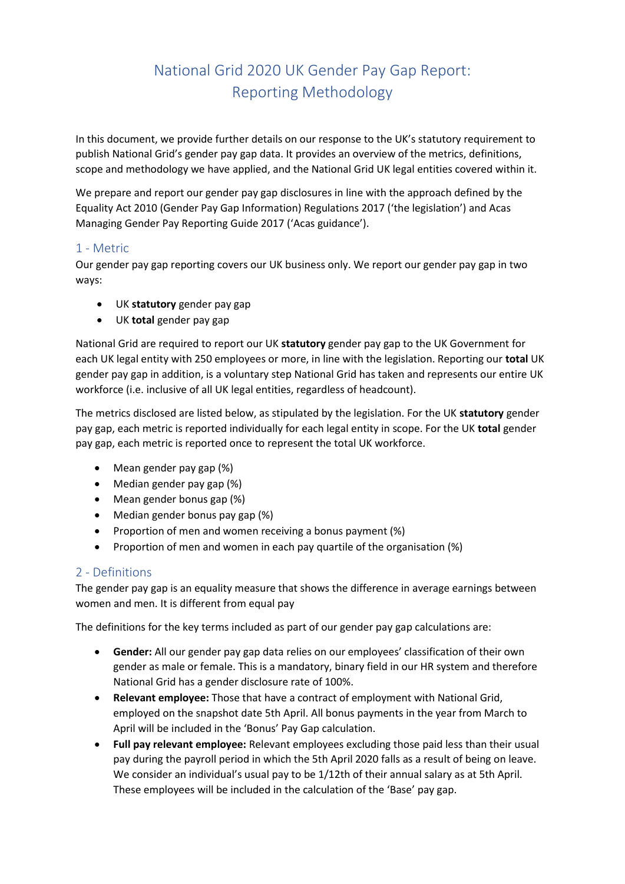# National Grid 2020 UK Gender Pay Gap Report: Reporting Methodology

In this document, we provide further details on our response to the UK's statutory requirement to publish National Grid's gender pay gap data. It provides an overview of the metrics, definitions, scope and methodology we have applied, and the National Grid UK legal entities covered within it.

We prepare and report our gender pay gap disclosures in line with the approach defined by the Equality Act 2010 (Gender Pay Gap Information) Regulations 2017 ('the legislation') and Acas Managing Gender Pay Reporting Guide 2017 ('Acas guidance').

### 1 - Metric

Our gender pay gap reporting covers our UK business only. We report our gender pay gap in two ways:

- UK **statutory** gender pay gap
- UK **total** gender pay gap

National Grid are required to report our UK **statutory** gender pay gap to the UK Government for each UK legal entity with 250 employees or more, in line with the legislation. Reporting our **total** UK gender pay gap in addition, is a voluntary step National Grid has taken and represents our entire UK workforce (i.e. inclusive of all UK legal entities, regardless of headcount).

The metrics disclosed are listed below, as stipulated by the legislation. For the UK **statutory** gender pay gap, each metric is reported individually for each legal entity in scope. For the UK **total** gender pay gap, each metric is reported once to represent the total UK workforce.

- Mean gender pay gap (%)
- Median gender pay gap (%)
- Mean gender bonus gap (%)
- Median gender bonus pay gap (%)
- Proportion of men and women receiving a bonus payment (%)
- Proportion of men and women in each pay quartile of the organisation (%)

## 2 - Definitions

The gender pay gap is an equality measure that shows the difference in average earnings between women and men. It is different from equal pay

The definitions for the key terms included as part of our gender pay gap calculations are:

- **Gender:** All our gender pay gap data relies on our employees' classification of their own gender as male or female. This is a mandatory, binary field in our HR system and therefore National Grid has a gender disclosure rate of 100%.
- **Relevant employee:** Those that have a contract of employment with National Grid, employed on the snapshot date 5th April. All bonus payments in the year from March to April will be included in the 'Bonus' Pay Gap calculation.
- **Full pay relevant employee:** Relevant employees excluding those paid less than their usual pay during the payroll period in which the 5th April 2020 falls as a result of being on leave. We consider an individual's usual pay to be 1/12th of their annual salary as at 5th April. These employees will be included in the calculation of the 'Base' pay gap.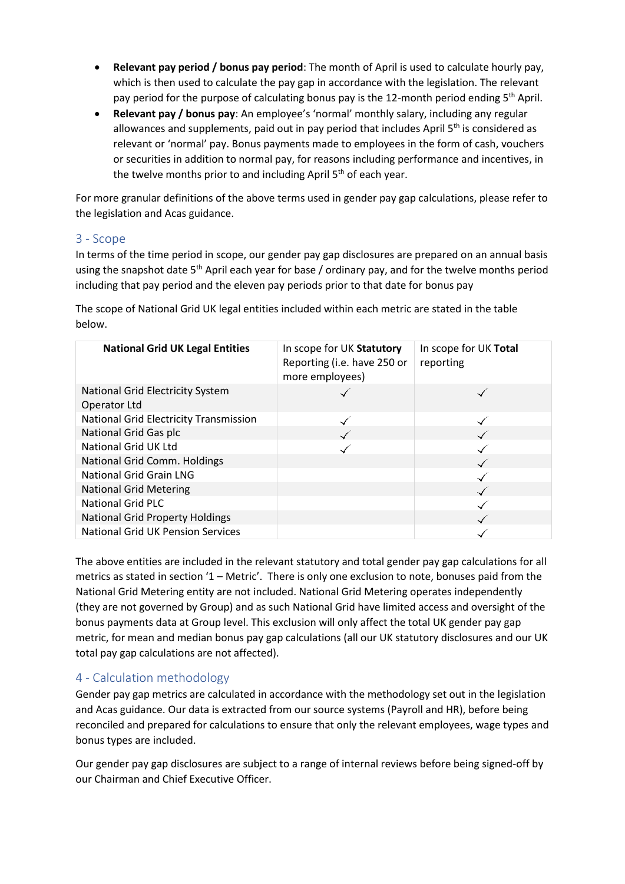- **Relevant pay period / bonus pay period**: The month of April is used to calculate hourly pay, which is then used to calculate the pay gap in accordance with the legislation. The relevant pay period for the purpose of calculating bonus pay is the 12-month period ending 5<sup>th</sup> April.
- **Relevant pay / bonus pay**: An employee's 'normal' monthly salary, including any regular allowances and supplements, paid out in pay period that includes April  $5<sup>th</sup>$  is considered as relevant or 'normal' pay. Bonus payments made to employees in the form of cash, vouchers or securities in addition to normal pay, for reasons including performance and incentives, in the twelve months prior to and including April  $5<sup>th</sup>$  of each year.

For more granular definitions of the above terms used in gender pay gap calculations, please refer to the legislation and Acas guidance.

## 3 - Scope

In terms of the time period in scope, our gender pay gap disclosures are prepared on an annual basis using the snapshot date 5<sup>th</sup> April each year for base / ordinary pay, and for the twelve months period including that pay period and the eleven pay periods prior to that date for bonus pay

The scope of National Grid UK legal entities included within each metric are stated in the table below.

| <b>National Grid UK Legal Entities</b>                  | In scope for UK Statutory<br>Reporting (i.e. have 250 or<br>more employees) | In scope for UK Total<br>reporting |
|---------------------------------------------------------|-----------------------------------------------------------------------------|------------------------------------|
| <b>National Grid Electricity System</b><br>Operator Ltd |                                                                             |                                    |
| <b>National Grid Electricity Transmission</b>           |                                                                             |                                    |
| National Grid Gas plc                                   |                                                                             |                                    |
| National Grid UK Ltd                                    |                                                                             |                                    |
| National Grid Comm. Holdings                            |                                                                             |                                    |
| <b>National Grid Grain LNG</b>                          |                                                                             |                                    |
| <b>National Grid Metering</b>                           |                                                                             |                                    |
| <b>National Grid PLC</b>                                |                                                                             |                                    |
| <b>National Grid Property Holdings</b>                  |                                                                             |                                    |
| <b>National Grid UK Pension Services</b>                |                                                                             |                                    |

The above entities are included in the relevant statutory and total gender pay gap calculations for all metrics as stated in section '1 – Metric'. There is only one exclusion to note, bonuses paid from the National Grid Metering entity are not included. National Grid Metering operates independently (they are not governed by Group) and as such National Grid have limited access and oversight of the bonus payments data at Group level. This exclusion will only affect the total UK gender pay gap metric, for mean and median bonus pay gap calculations (all our UK statutory disclosures and our UK total pay gap calculations are not affected).

## 4 - Calculation methodology

Gender pay gap metrics are calculated in accordance with the methodology set out in the legislation and Acas guidance. Our data is extracted from our source systems (Payroll and HR), before being reconciled and prepared for calculations to ensure that only the relevant employees, wage types and bonus types are included.

Our gender pay gap disclosures are subject to a range of internal reviews before being signed-off by our Chairman and Chief Executive Officer.